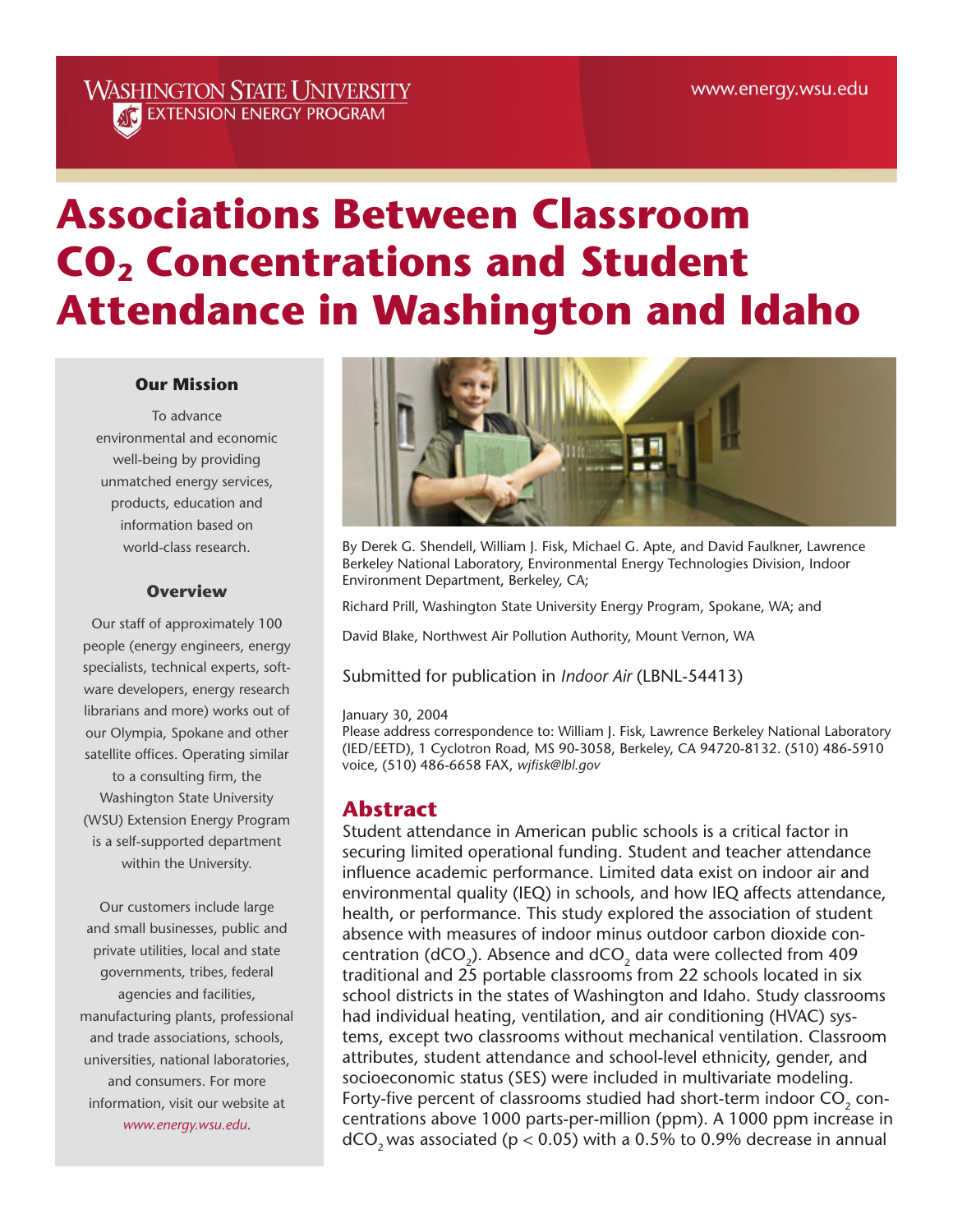# **WASHINGTON STATE UNIVERSITY ATC** EXTENSION ENERGY PROGRAM

# **Associations Between Classroom CO<sub>2</sub> Concentrations and Student Attendance in Washington and Idaho**

#### **Our Mission**

To advance environmental and economic well-being by providing unmatched energy services, products, education and information based on world-class research.

#### **Overview**

Our staff of approximately 100 people (energy engineers, energy specialists, technical experts, software developers, energy research librarians and more) works out of our Olympia, Spokane and other satellite offices. Operating similar to a consulting firm, the Washington State University (WSU) Extension Energy Program is a self-supported department within the University.

Our customers include large and small businesses, public and private utilities, local and state governments, tribes, federal agencies and facilities, manufacturing plants, professional and trade associations, schools, universities, national laboratories, and consumers. For more information, visit our website at *www.energy.wsu.edu*.



By Derek G. Shendell, William J. Fisk, Michael G. Apte, and David Faulkner, Lawrence Berkeley National Laboratory, Environmental Energy Technologies Division, Indoor Environment Department, Berkeley, CA;

Richard Prill, Washington State University Energy Program, Spokane, WA; and

David Blake, Northwest Air Pollution Authority, Mount Vernon, WA

Submitted for publication in *Indoor Air* (LBNL-54413)

#### January 30, 2004

Please address correspondence to: William J. Fisk, Lawrence Berkeley National Laboratory (IED/EETD), 1 Cyclotron Road, MS 90-3058, Berkeley, CA 94720-8132. (510) 486-5910 voice, (510) 486-6658 FAX, *wjfisk@lbl.gov* 

## **Abstract**

Student attendance in American public schools is a critical factor in securing limited operational funding. Student and teacher attendance influence academic performance. Limited data exist on indoor air and environmental quality (IEQ) in schools, and how IEQ affects attendance, health, or performance. This study explored the association of student absence with measures of indoor minus outdoor carbon dioxide concentration (dCO<sub>2</sub>). Absence and dCO<sub>2</sub> data were collected from 409 traditional and 25 portable classrooms from 22 schools located in six school districts in the states of Washington and Idaho. Study classrooms had individual heating, ventilation, and air conditioning (HVAC) systems, except two classrooms without mechanical ventilation. Classroom attributes, student attendance and school-level ethnicity, gender, and socioeconomic status (SES) were included in multivariate modeling. Forty-five percent of classrooms studied had short-term indoor CO<sub>2</sub> concentrations above 1000 parts-per-million (ppm). A 1000 ppm increase in  $dCO_2$  was associated (p < 0.05) with a 0.5% to 0.9% decrease in annual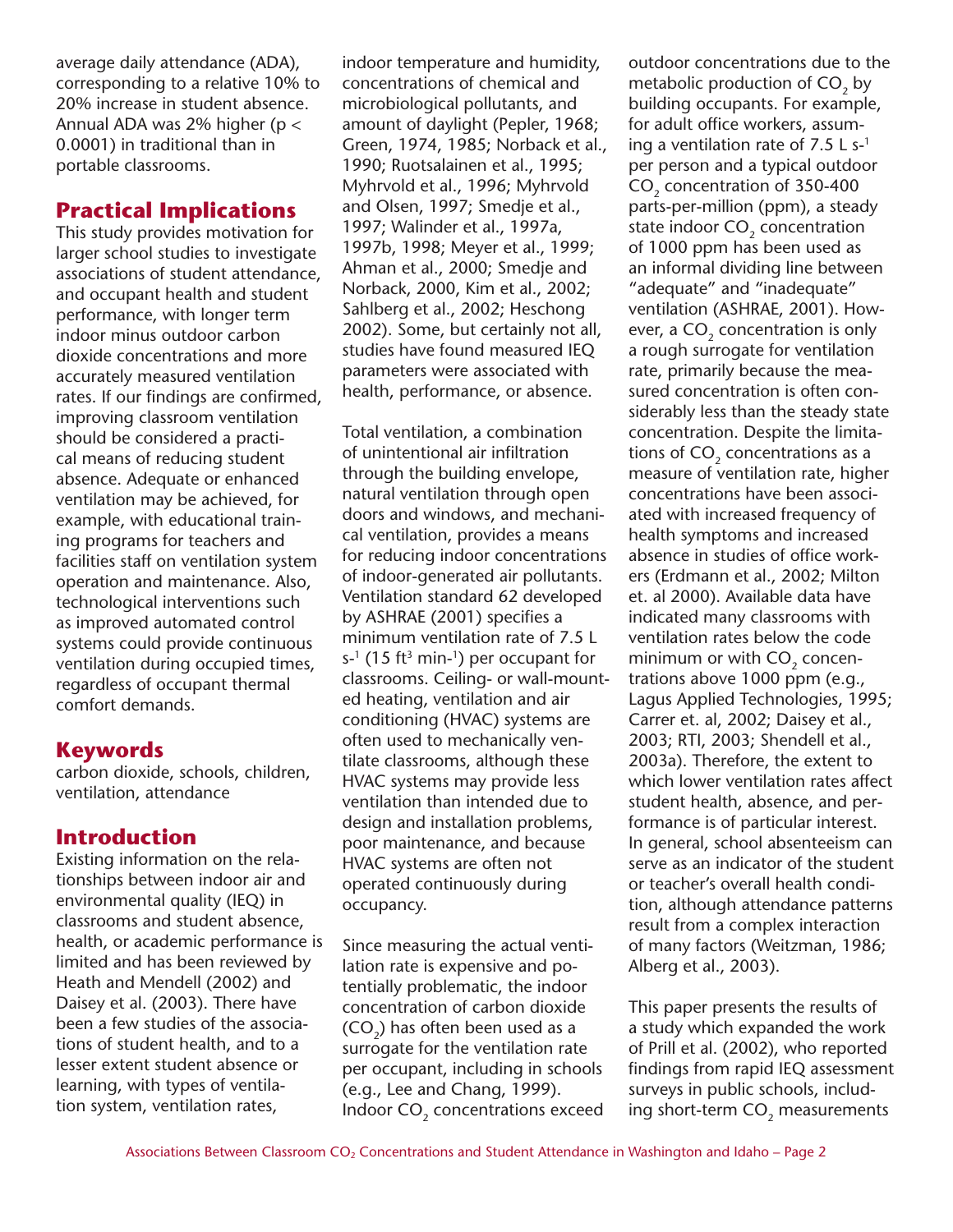average daily attendance (ADA), corresponding to a relative 10% to 20% increase in student absence. Annual ADA was 2% higher ( $p <$ 0.0001) in traditional than in portable classrooms.

## **Practical Implications**

This study provides motivation for larger school studies to investigate associations of student attendance, and occupant health and student performance, with longer term indoor minus outdoor carbon dioxide concentrations and more accurately measured ventilation rates. If our findings are confirmed, improving classroom ventilation should be considered a practical means of reducing student absence. Adequate or enhanced ventilation may be achieved, for example, with educational training programs for teachers and facilities staff on ventilation system operation and maintenance. Also, technological interventions such as improved automated control systems could provide continuous ventilation during occupied times, regardless of occupant thermal comfort demands.

# **Keywords**

carbon dioxide, schools, children, ventilation, attendance

# **Introduction**

Existing information on the relationships between indoor air and environmental quality (IEQ) in classrooms and student absence, health, or academic performance is limited and has been reviewed by Heath and Mendell (2002) and Daisey et al. (2003). There have been a few studies of the associations of student health, and to a lesser extent student absence or learning, with types of ventilation system, ventilation rates,

indoor temperature and humidity, concentrations of chemical and microbiological pollutants, and amount of daylight (Pepler, 1968; Green, 1974, 1985; Norback et al., 1990; Ruotsalainen et al., 1995; Myhrvold et al., 1996; Myhrvold and Olsen, 1997; Smedje et al., 1997; Walinder et al., 1997a, 1997b, 1998; Meyer et al., 1999; Ahman et al., 2000; Smedje and Norback, 2000, Kim et al., 2002; Sahlberg et al., 2002; Heschong 2002). Some, but certainly not all, studies have found measured IEQ parameters were associated with health, performance, or absence.

Total ventilation, a combination of unintentional air infiltration through the building envelope, natural ventilation through open doors and windows, and mechanical ventilation, provides a means for reducing indoor concentrations of indoor-generated air pollutants. Ventilation standard 62 developed by ASHRAE (2001) specifies a minimum ventilation rate of 7.5 L  $s^{-1}$  (15 ft<sup>3</sup> min-<sup>1</sup>) per occupant for classrooms. Ceiling- or wall-mounted heating, ventilation and air conditioning (HVAC) systems are often used to mechanically ventilate classrooms, although these HVAC systems may provide less ventilation than intended due to design and installation problems, poor maintenance, and because HVAC systems are often not operated continuously during occupancy.

Since measuring the actual ventilation rate is expensive and potentially problematic, the indoor concentration of carbon dioxide (CO<sub>2</sub>) has often been used as a surrogate for the ventilation rate per occupant, including in schools (e.g., Lee and Chang, 1999). Indoor CO<sub>2</sub> concentrations exceed outdoor concentrations due to the metabolic production of  $CO<sub>2</sub>$  by building occupants. For example, for adult office workers, assuming a ventilation rate of 7.5 L  $s$ -1 per person and a typical outdoor CO<sub>2</sub> concentration of 350-400 parts-per-million (ppm), a steady state indoor CO<sub>2</sub> concentration of 1000 ppm has been used as an informal dividing line between "adequate" and "inadequate" ventilation (ASHRAE, 2001). However, a  $CO<sub>2</sub>$  concentration is only a rough surrogate for ventilation rate, primarily because the measured concentration is often considerably less than the steady state concentration. Despite the limitations of  $CO<sub>2</sub>$  concentrations as a measure of ventilation rate, higher concentrations have been associated with increased frequency of health symptoms and increased absence in studies of office workers (Erdmann et al., 2002; Milton et. al 2000). Available data have indicated many classrooms with ventilation rates below the code minimum or with  $CO<sub>2</sub>$  concentrations above 1000 ppm (e.g., Lagus Applied Technologies, 1995; Carrer et. al, 2002; Daisey et al., 2003; RTI, 2003; Shendell et al., 2003a). Therefore, the extent to which lower ventilation rates affect student health, absence, and performance is of particular interest. In general, school absenteeism can serve as an indicator of the student or teacher's overall health condition, although attendance patterns result from a complex interaction of many factors (Weitzman, 1986; Alberg et al., 2003).

This paper presents the results of a study which expanded the work of Prill et al. (2002), who reported findings from rapid IEQ assessment surveys in public schools, including short-term CO<sub>2</sub> measurements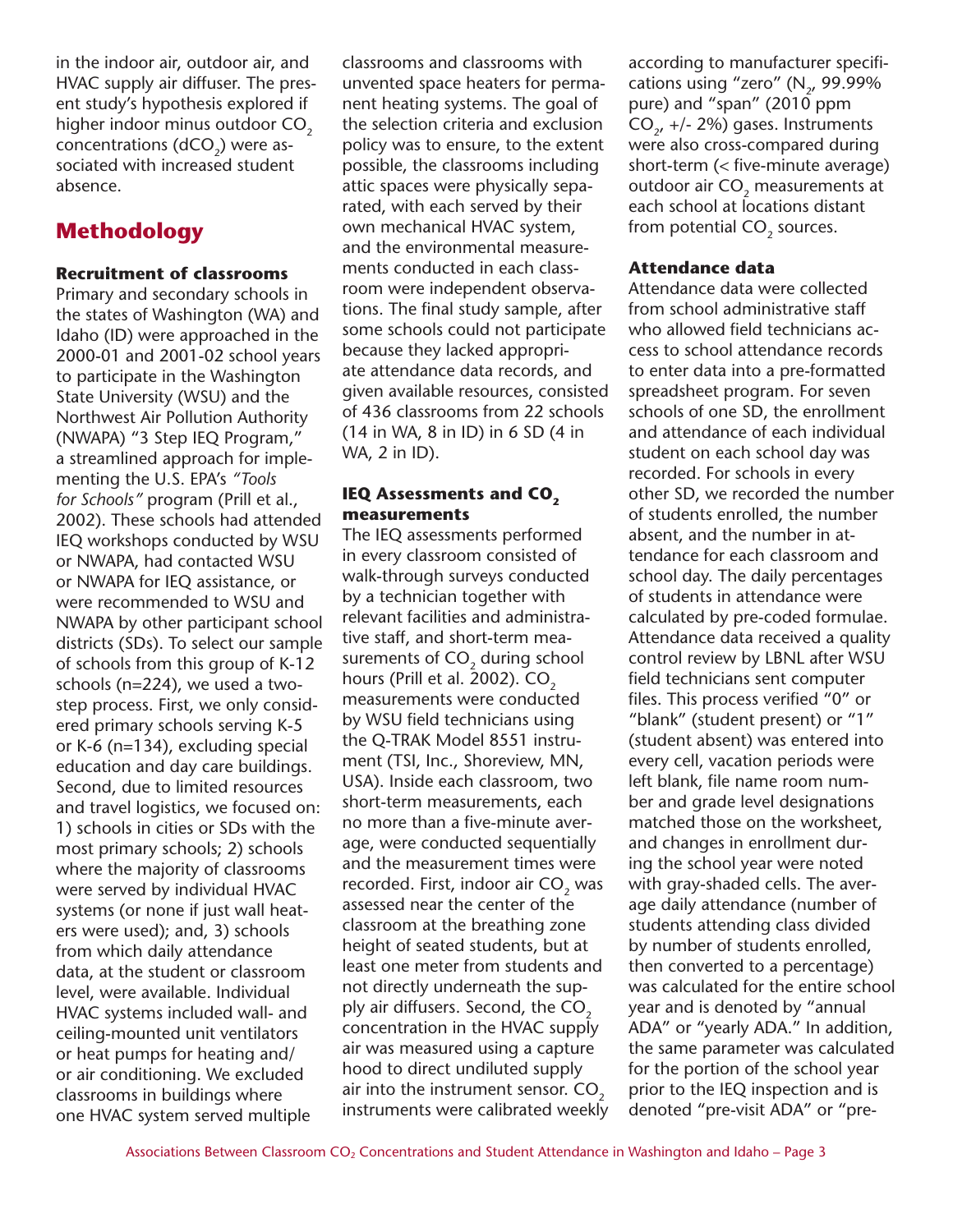in the indoor air, outdoor air, and HVAC supply air diffuser. The present study's hypothesis explored if higher indoor minus outdoor  $CO<sub>2</sub>$ concentrations ( $dCO<sub>2</sub>$ ) were associated with increased student absence.

# **Methodology**

#### **Recruitment of classrooms**

Primary and secondary schools in the states of Washington (WA) and Idaho (ID) were approached in the 2000-01 and 2001-02 school years to participate in the Washington State University (WSU) and the Northwest Air Pollution Authority (NWAPA) "3 Step IEQ Program," a streamlined approach for implementing the U.S. EPA's *"Tools for Schools"* program (Prill et al., 2002). These schools had attended IEQ workshops conducted by WSU or NWAPA, had contacted WSU or NWAPA for IEQ assistance, or were recommended to WSU and NWAPA by other participant school districts (SDs). To select our sample of schools from this group of K-12 schools (n=224), we used a twostep process. First, we only considered primary schools serving K-5 or K-6 (n=134), excluding special education and day care buildings. Second, due to limited resources and travel logistics, we focused on: 1) schools in cities or SDs with the most primary schools; 2) schools where the majority of classrooms were served by individual HVAC systems (or none if just wall heaters were used); and, 3) schools from which daily attendance data, at the student or classroom level, were available. Individual HVAC systems included wall- and ceiling-mounted unit ventilators or heat pumps for heating and/ or air conditioning. We excluded classrooms in buildings where one HVAC system served multiple

classrooms and classrooms with unvented space heaters for permanent heating systems. The goal of the selection criteria and exclusion policy was to ensure, to the extent possible, the classrooms including attic spaces were physically separated, with each served by their own mechanical HVAC system, and the environmental measurements conducted in each classroom were independent observations. The final study sample, after some schools could not participate because they lacked appropriate attendance data records, and given available resources, consisted of 436 classrooms from 22 schools (14 in WA, 8 in ID) in 6 SD (4 in WA, 2 in ID).

#### **IEQ Assessments and CO<sub>2</sub> measurements**

The IEQ assessments performed in every classroom consisted of walk-through surveys conducted by a technician together with relevant facilities and administrative staff, and short-term measurements of  $CO<sub>2</sub>$  during school hours (Prill et al. 2002).  $CO<sub>2</sub>$ measurements were conducted by WSU field technicians using the Q-TRAK Model 8551 instrument (TSI, Inc., Shoreview, MN, USA). Inside each classroom, two short-term measurements, each no more than a five-minute average, were conducted sequentially and the measurement times were recorded. First, indoor air  $CO<sub>2</sub>$  was assessed near the center of the classroom at the breathing zone height of seated students, but at least one meter from students and not directly underneath the supply air diffusers. Second, the  $CO<sub>2</sub>$ concentration in the HVAC supply air was measured using a capture hood to direct undiluted supply air into the instrument sensor. CO<sub>2</sub> instruments were calibrated weekly according to manufacturer specifications using "zero"  $(N_2, 99.99\%)$ pure) and "span" (2010 ppm  $CO<sub>2</sub>$ , +/- 2%) gases. Instruments were also cross-compared during short-term (< five-minute average) outdoor air CO<sub>2</sub> measurements at each school at locations distant from potential CO<sub>2</sub> sources.

#### **Attendance data**

Attendance data were collected from school administrative staff who allowed field technicians access to school attendance records to enter data into a pre-formatted spreadsheet program. For seven schools of one SD, the enrollment and attendance of each individual student on each school day was recorded. For schools in every other SD, we recorded the number of students enrolled, the number absent, and the number in attendance for each classroom and school day. The daily percentages of students in attendance were calculated by pre-coded formulae. Attendance data received a quality control review by LBNL after WSU field technicians sent computer files. This process verified "0" or "blank" (student present) or "1" (student absent) was entered into every cell, vacation periods were left blank, file name room number and grade level designations matched those on the worksheet, and changes in enrollment during the school year were noted with gray-shaded cells. The average daily attendance (number of students attending class divided by number of students enrolled, then converted to a percentage) was calculated for the entire school year and is denoted by "annual ADA" or "yearly ADA." In addition, the same parameter was calculated for the portion of the school year prior to the IEQ inspection and is denoted "pre-visit ADA" or "pre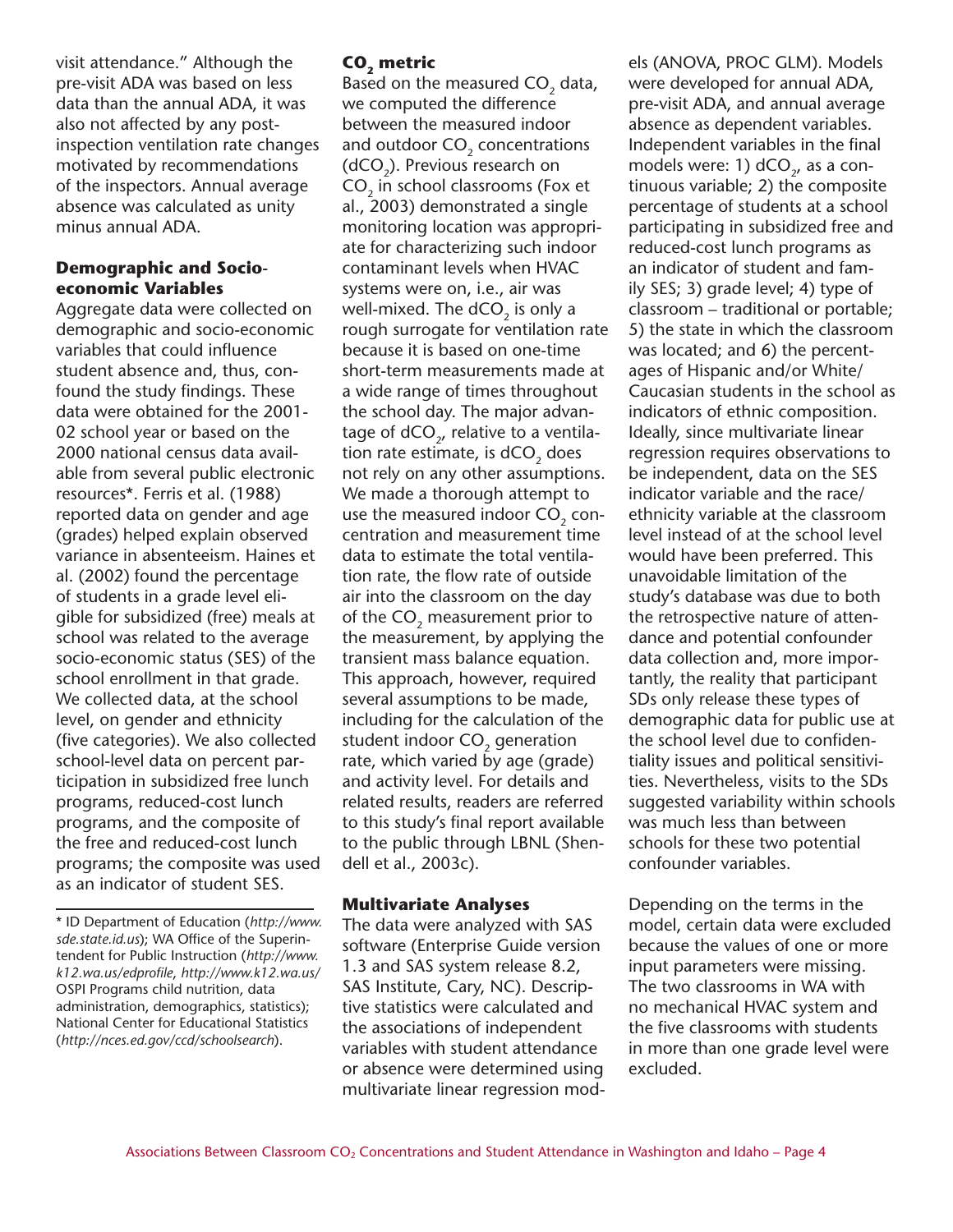visit attendance." Although the pre-visit ADA was based on less data than the annual ADA, it was also not affected by any postinspection ventilation rate changes motivated by recommendations of the inspectors. Annual average absence was calculated as unity minus annual ADA.

#### **Demographic and Socioeconomic Variables**

Aggregate data were collected on demographic and socio-economic variables that could influence student absence and, thus, confound the study findings. These data were obtained for the 2001- 02 school year or based on the 2000 national census data available from several public electronic resources\*. Ferris et al. (1988) reported data on gender and age (grades) helped explain observed variance in absenteeism. Haines et al. (2002) found the percentage of students in a grade level eligible for subsidized (free) meals at school was related to the average socio-economic status (SES) of the school enrollment in that grade. We collected data, at the school level, on gender and ethnicity (five categories). We also collected school-level data on percent participation in subsidized free lunch programs, reduced-cost lunch programs, and the composite of the free and reduced-cost lunch programs; the composite was used as an indicator of student SES.

## **CO**, metric

Based on the measured CO<sub>2</sub> data, we computed the difference between the measured indoor and outdoor CO<sub>2</sub> concentrations  $(dCO<sub>2</sub>)$ . Previous research on CO<sub>2</sub> in school classrooms (Fox et al., 2003) demonstrated a single monitoring location was appropriate for characterizing such indoor contaminant levels when HVAC systems were on, i.e., air was well-mixed. The  $dCO<sub>2</sub>$  is only a rough surrogate for ventilation rate because it is based on one-time short-term measurements made at a wide range of times throughout the school day. The major advantage of  $dCO_{2}$ , relative to a ventilation rate estimate, is  $dCO<sub>2</sub>$  does not rely on any other assumptions. We made a thorough attempt to use the measured indoor CO<sub>2</sub> concentration and measurement time data to estimate the total ventilation rate, the flow rate of outside air into the classroom on the day of the CO<sub>2</sub> measurement prior to the measurement, by applying the transient mass balance equation. This approach, however, required several assumptions to be made, including for the calculation of the student indoor CO<sub>2</sub> generation rate, which varied by age (grade) and activity level. For details and related results, readers are referred to this study's final report available to the public through LBNL (Shendell et al., 2003c).

#### **Multivariate Analyses**

The data were analyzed with SAS software (Enterprise Guide version 1.3 and SAS system release 8.2, SAS Institute, Cary, NC). Descriptive statistics were calculated and the associations of independent variables with student attendance or absence were determined using multivariate linear regression models (ANOVA, PROC GLM). Models were developed for annual ADA, pre-visit ADA, and annual average absence as dependent variables. Independent variables in the final models were: 1)  $dCO<sub>2</sub>$ , as a continuous variable; 2) the composite percentage of students at a school participating in subsidized free and reduced-cost lunch programs as an indicator of student and family SES; 3) grade level; 4) type of classroom – traditional or portable; 5) the state in which the classroom was located; and 6) the percentages of Hispanic and/or White/ Caucasian students in the school as indicators of ethnic composition. Ideally, since multivariate linear regression requires observations to be independent, data on the SES indicator variable and the race/ ethnicity variable at the classroom level instead of at the school level would have been preferred. This unavoidable limitation of the study's database was due to both the retrospective nature of attendance and potential confounder data collection and, more importantly, the reality that participant SDs only release these types of demographic data for public use at the school level due to confidentiality issues and political sensitivities. Nevertheless, visits to the SDs suggested variability within schools was much less than between schools for these two potential confounder variables.

Depending on the terms in the model, certain data were excluded because the values of one or more input parameters were missing. The two classrooms in WA with no mechanical HVAC system and the five classrooms with students in more than one grade level were excluded.

<sup>\*</sup> ID Department of Education (*http://www. sde.state.id.us*); WA Office of the Superintendent for Public Instruction (*http://www. k12.wa.us/edprofile*, *http://www.k12.wa.us/* OSPI Programs child nutrition, data administration, demographics, statistics); National Center for Educational Statistics (*http://nces.ed.gov/ccd/schoolsearch*).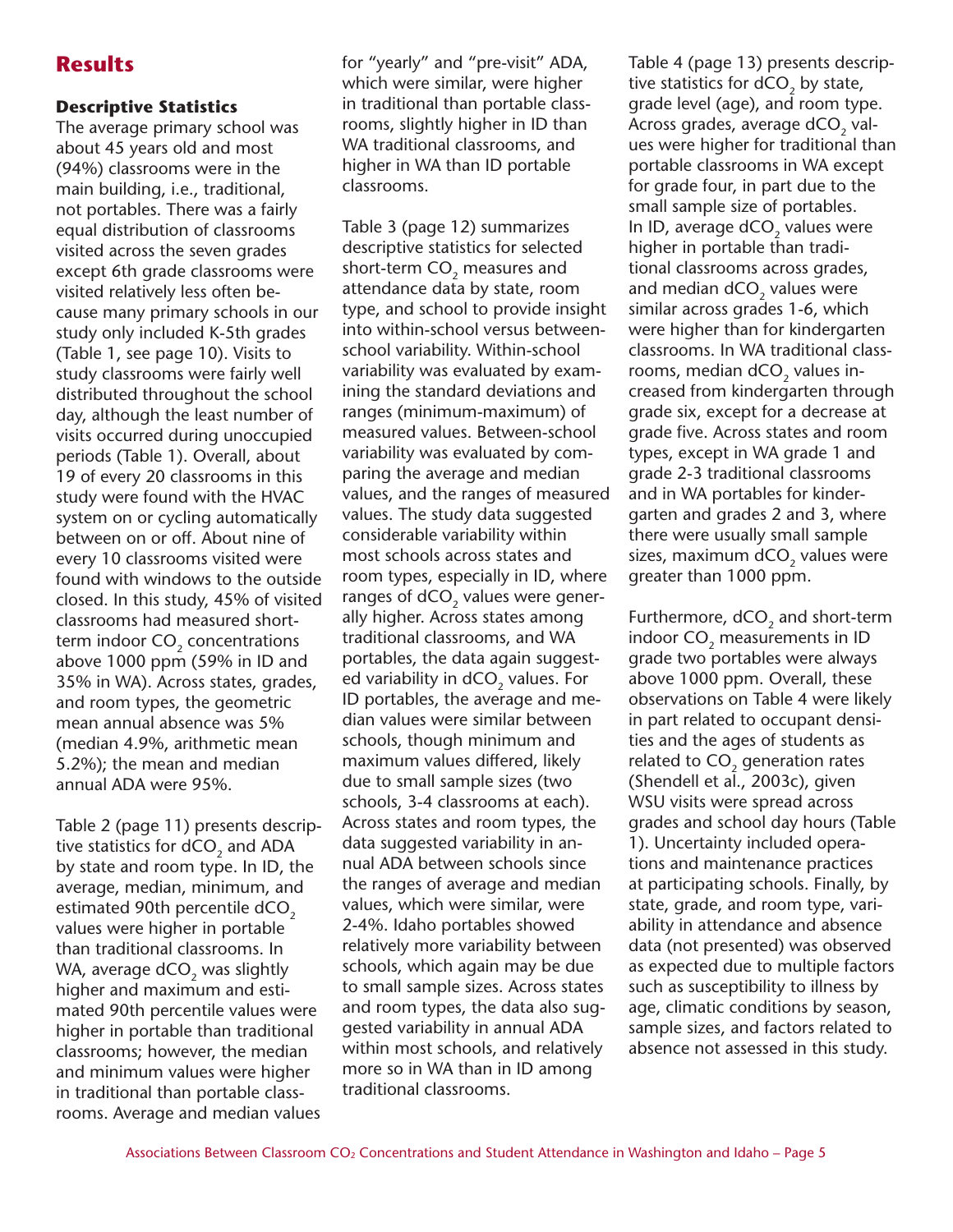# **Results**

### **Descriptive Statistics**

The average primary school was about 45 years old and most (94%) classrooms were in the main building, i.e., traditional, not portables. There was a fairly equal distribution of classrooms visited across the seven grades except 6th grade classrooms were visited relatively less often because many primary schools in our study only included K-5th grades (Table 1, see page 10). Visits to study classrooms were fairly well distributed throughout the school day, although the least number of visits occurred during unoccupied periods (Table 1). Overall, about 19 of every 20 classrooms in this study were found with the HVAC system on or cycling automatically between on or off. About nine of every 10 classrooms visited were found with windows to the outside closed. In this study, 45% of visited classrooms had measured shortterm indoor CO<sub>2</sub> concentrations above 1000 ppm (59% in ID and 35% in WA). Across states, grades, and room types, the geometric mean annual absence was 5% (median 4.9%, arithmetic mean 5.2%); the mean and median annual ADA were 95%.

Table 2 (page 11) presents descriptive statistics for dCO<sub>2</sub> and ADA by state and room type. In ID, the average, median, minimum, and estimated 90th percentile dCO<sub>2</sub> values were higher in portable than traditional classrooms. In WA, average dCO<sub>2</sub> was slightly higher and maximum and estimated 90th percentile values were higher in portable than traditional classrooms; however, the median and minimum values were higher in traditional than portable classrooms. Average and median values for "yearly" and "pre-visit" ADA, which were similar, were higher in traditional than portable classrooms, slightly higher in ID than WA traditional classrooms, and higher in WA than ID portable classrooms.

Table 3 (page 12) summarizes descriptive statistics for selected short-term CO<sub>2</sub> measures and attendance data by state, room type, and school to provide insight into within-school versus betweenschool variability. Within-school variability was evaluated by examining the standard deviations and ranges (minimum-maximum) of measured values. Between-school variability was evaluated by comparing the average and median values, and the ranges of measured values. The study data suggested considerable variability within most schools across states and room types, especially in ID, where ranges of dCO<sub>2</sub> values were generally higher. Across states among traditional classrooms, and WA portables, the data again suggested variability in dCO<sub>2</sub> values. For ID portables, the average and median values were similar between schools, though minimum and maximum values differed, likely due to small sample sizes (two schools, 3-4 classrooms at each). Across states and room types, the data suggested variability in annual ADA between schools since the ranges of average and median values, which were similar, were 2-4%. Idaho portables showed relatively more variability between schools, which again may be due to small sample sizes. Across states and room types, the data also suggested variability in annual ADA within most schools, and relatively more so in WA than in ID among traditional classrooms.

Table 4 (page 13) presents descriptive statistics for  $dCO<sub>2</sub>$  by state, grade level (age), and room type. Across grades, average dCO<sub>2</sub> values were higher for traditional than portable classrooms in WA except for grade four, in part due to the small sample size of portables. In ID, average dCO<sub>2</sub> values were higher in portable than traditional classrooms across grades, and median  $dCO<sub>2</sub>$  values were similar across grades 1-6, which were higher than for kindergarten classrooms. In WA traditional classrooms, median  $dCO<sub>2</sub>$  values increased from kindergarten through grade six, except for a decrease at grade five. Across states and room types, except in WA grade 1 and grade 2-3 traditional classrooms and in WA portables for kindergarten and grades 2 and 3, where there were usually small sample sizes, maximum dCO<sub>2</sub> values were greater than 1000 ppm.

Furthermore,  $dCO<sub>2</sub>$  and short-term indoor CO<sub>2</sub> measurements in ID grade two portables were always above 1000 ppm. Overall, these observations on Table 4 were likely in part related to occupant densities and the ages of students as related to CO<sub>2</sub> generation rates (Shendell et al., 2003c), given WSU visits were spread across grades and school day hours (Table 1). Uncertainty included operations and maintenance practices at participating schools. Finally, by state, grade, and room type, variability in attendance and absence data (not presented) was observed as expected due to multiple factors such as susceptibility to illness by age, climatic conditions by season, sample sizes, and factors related to absence not assessed in this study.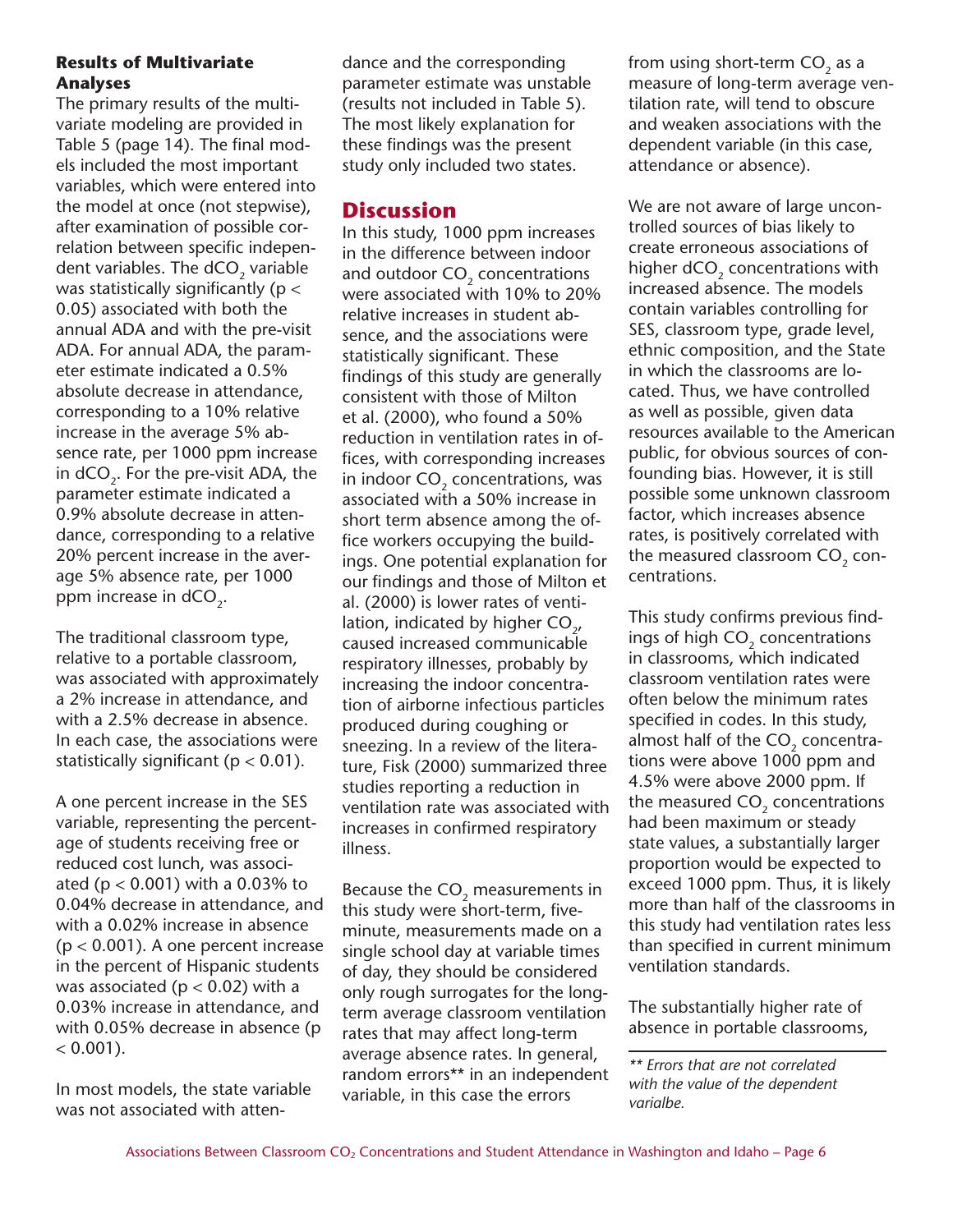#### **Results of Multivariate Analyses**

The primary results of the multivariate modeling are provided in Table 5 (page 14). The final models included the most important variables, which were entered into the model at once (not stepwise), after examination of possible correlation between specific independent variables. The  $dCO<sub>2</sub>$  variable was statistically significantly (p < 0.05) associated with both the annual ADA and with the pre-visit ADA. For annual ADA, the parameter estimate indicated a 0.5% absolute decrease in attendance, corresponding to a 10% relative increase in the average 5% absence rate, per 1000 ppm increase in  $dCO<sub>2</sub>$ . For the pre-visit ADA, the parameter estimate indicated a 0.9% absolute decrease in attendance, corresponding to a relative 20% percent increase in the average 5% absence rate, per 1000 ppm increase in  $dCO<sub>2</sub>$ .

The traditional classroom type, relative to a portable classroom, was associated with approximately a 2% increase in attendance, and with a 2.5% decrease in absence. In each case, the associations were statistically significant ( $p < 0.01$ ).

A one percent increase in the SES variable, representing the percentage of students receiving free or reduced cost lunch, was associated ( $p < 0.001$ ) with a 0.03% to 0.04% decrease in attendance, and with a 0.02% increase in absence (p < 0.001). A one percent increase in the percent of Hispanic students was associated ( $p < 0.02$ ) with a 0.03% increase in attendance, and with 0.05% decrease in absence (p  $< 0.001$ ).

In most models, the state variable was not associated with attendance and the corresponding parameter estimate was unstable (results not included in Table 5). The most likely explanation for these findings was the present study only included two states.

## **Discussion**

In this study, 1000 ppm increases in the difference between indoor and outdoor CO<sub>2</sub> concentrations were associated with 10% to 20% relative increases in student absence, and the associations were statistically significant. These findings of this study are generally consistent with those of Milton et al. (2000), who found a 50% reduction in ventilation rates in offices, with corresponding increases in indoor CO<sub>2</sub> concentrations, was associated with a 50% increase in short term absence among the office workers occupying the buildings. One potential explanation for our findings and those of Milton et al. (2000) is lower rates of ventilation, indicated by higher  $CO_{2}$ , caused increased communicable respiratory illnesses, probably by increasing the indoor concentration of airborne infectious particles produced during coughing or sneezing. In a review of the literature, Fisk (2000) summarized three studies reporting a reduction in ventilation rate was associated with increases in confirmed respiratory illness.

Because the  $CO<sub>2</sub>$  measurements in this study were short-term, fiveminute, measurements made on a single school day at variable times of day, they should be considered only rough surrogates for the longterm average classroom ventilation rates that may affect long-term average absence rates. In general, random errors\*\* in an independent variable, in this case the errors

from using short-term  $CO<sub>2</sub>$  as a measure of long-term average ventilation rate, will tend to obscure and weaken associations with the dependent variable (in this case, attendance or absence).

We are not aware of large uncontrolled sources of bias likely to create erroneous associations of higher  $dCO<sub>2</sub>$  concentrations with increased absence. The models contain variables controlling for SES, classroom type, grade level, ethnic composition, and the State in which the classrooms are located. Thus, we have controlled as well as possible, given data resources available to the American public, for obvious sources of confounding bias. However, it is still possible some unknown classroom factor, which increases absence rates, is positively correlated with the measured classroom CO<sub>2</sub> concentrations.

This study confirms previous findings of high CO<sub>2</sub> concentrations in classrooms, which indicated classroom ventilation rates were often below the minimum rates specified in codes. In this study, almost half of the CO<sub>2</sub> concentrations were above 1000 ppm and 4.5% were above 2000 ppm. If the measured CO<sub>2</sub> concentrations had been maximum or steady state values, a substantially larger proportion would be expected to exceed 1000 ppm. Thus, it is likely more than half of the classrooms in this study had ventilation rates less than specified in current minimum ventilation standards.

The substantially higher rate of absence in portable classrooms,

*<sup>\*\*</sup> Errors that are not correlated with the value of the dependent varialbe.*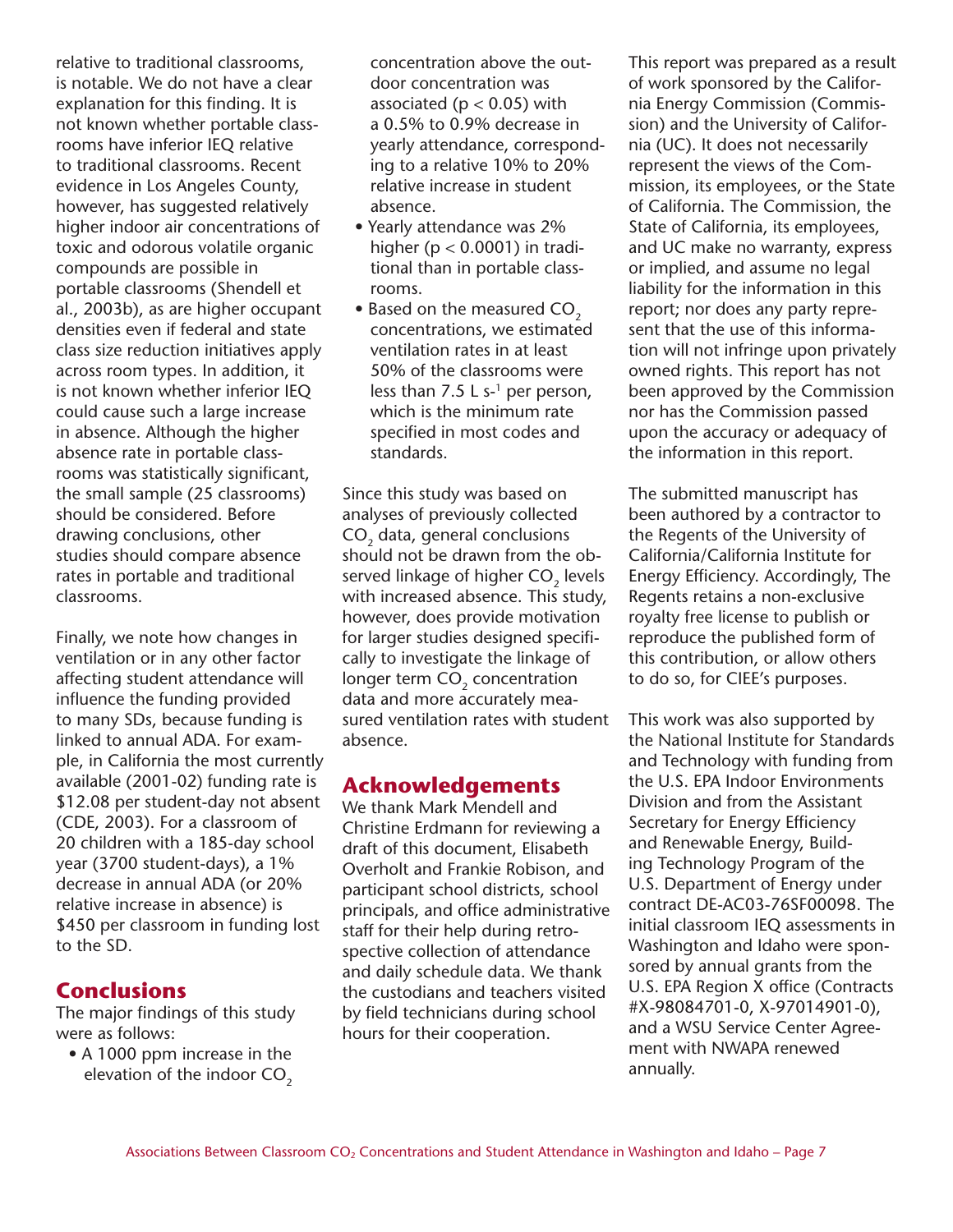relative to traditional classrooms, is notable. We do not have a clear explanation for this finding. It is not known whether portable classrooms have inferior IEQ relative to traditional classrooms. Recent evidence in Los Angeles County, however, has suggested relatively higher indoor air concentrations of toxic and odorous volatile organic compounds are possible in portable classrooms (Shendell et al., 2003b), as are higher occupant densities even if federal and state class size reduction initiatives apply across room types. In addition, it is not known whether inferior IEQ could cause such a large increase in absence. Although the higher absence rate in portable classrooms was statistically significant, the small sample (25 classrooms) should be considered. Before drawing conclusions, other studies should compare absence rates in portable and traditional classrooms.

Finally, we note how changes in ventilation or in any other factor affecting student attendance will influence the funding provided to many SDs, because funding is linked to annual ADA. For example, in California the most currently available (2001-02) funding rate is \$12.08 per student-day not absent (CDE, 2003). For a classroom of 20 children with a 185-day school year (3700 student-days), a 1% decrease in annual ADA (or 20% relative increase in absence) is \$450 per classroom in funding lost to the SD.

# **Conclusions**

The major findings of this study were as follows:

• A 1000 ppm increase in the elevation of the indoor  $CO<sub>2</sub>$  concentration above the outdoor concentration was associated ( $p < 0.05$ ) with a 0.5% to 0.9% decrease in yearly attendance, corresponding to a relative 10% to 20% relative increase in student absence.

- Yearly attendance was 2% higher ( $p < 0.0001$ ) in traditional than in portable classrooms.
- Based on the measured CO<sub>2</sub> concentrations, we estimated ventilation rates in at least 50% of the classrooms were less than 7.5 L s- $<sup>1</sup>$  per person,</sup> which is the minimum rate specified in most codes and standards.

Since this study was based on analyses of previously collected CO<sub>2</sub> data, general conclusions should not be drawn from the observed linkage of higher CO<sub>2</sub> levels with increased absence. This study, however, does provide motivation for larger studies designed specifically to investigate the linkage of longer term CO<sub>2</sub> concentration data and more accurately measured ventilation rates with student absence.

# **Acknowledgements**

We thank Mark Mendell and Christine Erdmann for reviewing a draft of this document, Elisabeth Overholt and Frankie Robison, and participant school districts, school principals, and office administrative staff for their help during retrospective collection of attendance and daily schedule data. We thank the custodians and teachers visited by field technicians during school hours for their cooperation.

This report was prepared as a result of work sponsored by the California Energy Commission (Commission) and the University of California (UC). It does not necessarily represent the views of the Commission, its employees, or the State of California. The Commission, the State of California, its employees, and UC make no warranty, express or implied, and assume no legal liability for the information in this report; nor does any party represent that the use of this information will not infringe upon privately owned rights. This report has not been approved by the Commission nor has the Commission passed upon the accuracy or adequacy of the information in this report.

The submitted manuscript has been authored by a contractor to the Regents of the University of California/California Institute for Energy Efficiency. Accordingly, The Regents retains a non-exclusive royalty free license to publish or reproduce the published form of this contribution, or allow others to do so, for CIEE's purposes.

This work was also supported by the National Institute for Standards and Technology with funding from the U.S. EPA Indoor Environments Division and from the Assistant Secretary for Energy Efficiency and Renewable Energy, Building Technology Program of the U.S. Department of Energy under contract DE-AC03-76SF00098. The initial classroom IEQ assessments in Washington and Idaho were sponsored by annual grants from the U.S. EPA Region X office (Contracts #X-98084701-0, X-97014901-0), and a WSU Service Center Agreement with NWAPA renewed annually.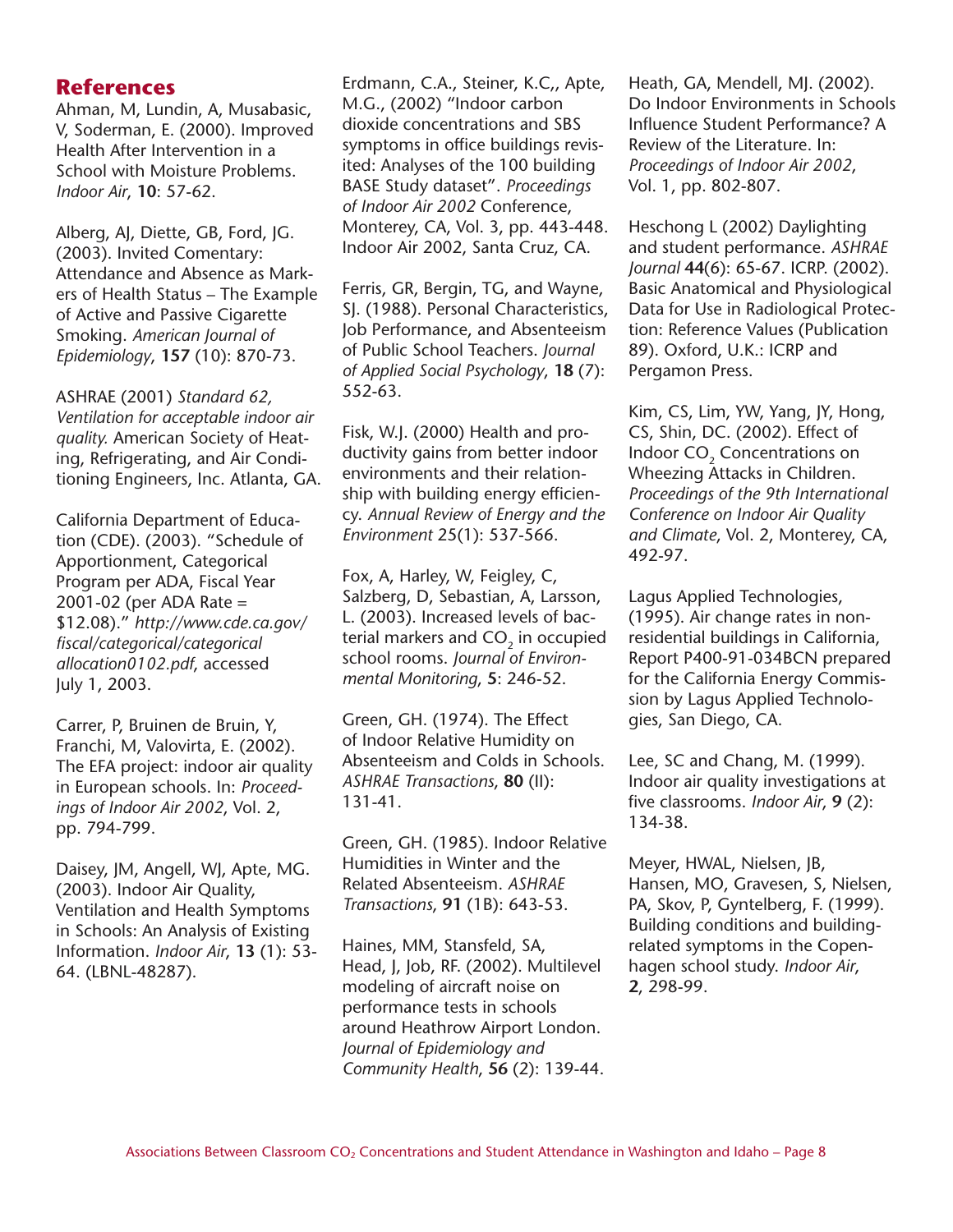## **References**

Ahman, M, Lundin, A, Musabasic, V, Soderman, E. (2000). Improved Health After Intervention in a School with Moisture Problems. *Indoor Air*, **10**: 57-62.

Alberg, AJ, Diette, GB, Ford, JG. (2003). Invited Comentary: Attendance and Absence as Markers of Health Status – The Example of Active and Passive Cigarette Smoking. *American Journal of Epidemiology*, **157** (10): 870-73.

ASHRAE (2001) *Standard 62, Ventilation for acceptable indoor air quality.* American Society of Heating, Refrigerating, and Air Conditioning Engineers, Inc. Atlanta, GA.

California Department of Education (CDE). (2003). "Schedule of Apportionment, Categorical Program per ADA, Fiscal Year 2001-02 (per ADA Rate = \$12.08)." *http://www.cde.ca.gov/ fiscal/categorical/categorical allocation0102.pdf*, accessed July 1, 2003.

Carrer, P, Bruinen de Bruin, Y, Franchi, M, Valovirta, E. (2002). The EFA project: indoor air quality in European schools. In: *Proceedings of Indoor Air 2002*, Vol. 2, pp. 794-799.

Daisey, JM, Angell, WJ, Apte, MG. (2003). Indoor Air Quality, Ventilation and Health Symptoms in Schools: An Analysis of Existing Information. *Indoor Air*, **13** (1): 53- 64. (LBNL-48287).

Erdmann, C.A., Steiner, K.C,, Apte, M.G., (2002) "Indoor carbon dioxide concentrations and SBS symptoms in office buildings revisited: Analyses of the 100 building BASE Study dataset". *Proceedings of Indoor Air 2002* Conference, Monterey, CA, Vol. 3, pp. 443-448. Indoor Air 2002, Santa Cruz, CA.

Ferris, GR, Bergin, TG, and Wayne, SJ. (1988). Personal Characteristics, Job Performance, and Absenteeism of Public School Teachers. *Journal of Applied Social Psychology*, **18** (7): 552-63.

Fisk, W.J. (2000) Health and productivity gains from better indoor environments and their relationship with building energy efficiency. *Annual Review of Energy and the Environment* 25(1): 537-566.

Fox, A, Harley, W, Feigley, C, Salzberg, D, Sebastian, A, Larsson, L. (2003). Increased levels of bacterial markers and CO<sub>2</sub> in occupied school rooms. *Journal of Environmental Monitoring*, **5**: 246-52.

Green, GH. (1974). The Effect of Indoor Relative Humidity on Absenteeism and Colds in Schools. *ASHRAE Transactions*, **80** (II): 131-41.

Green, GH. (1985). Indoor Relative Humidities in Winter and the Related Absenteeism. *ASHRAE Transactions*, **91** (1B): 643-53.

Haines, MM, Stansfeld, SA, Head, J, Job, RF. (2002). Multilevel modeling of aircraft noise on performance tests in schools around Heathrow Airport London. *Journal of Epidemiology and Community Health*, **56** (2): 139-44. Heath, GA, Mendell, MJ. (2002). Do Indoor Environments in Schools Influence Student Performance? A Review of the Literature. In: *Proceedings of Indoor Air 2002*, Vol. 1, pp. 802-807.

Heschong L (2002) Daylighting and student performance. *ASHRAE Journal* **44**(6): 65-67. ICRP. (2002). Basic Anatomical and Physiological Data for Use in Radiological Protection: Reference Values (Publication 89). Oxford, U.K.: ICRP and Pergamon Press.

Kim, CS, Lim, YW, Yang, JY, Hong, CS, Shin, DC. (2002). Effect of Indoor CO<sub>2</sub> Concentrations on Wheezing Attacks in Children. *Proceedings of the 9th International Conference on Indoor Air Quality and Climate*, Vol. 2, Monterey, CA, 492-97.

Lagus Applied Technologies, (1995). Air change rates in nonresidential buildings in California, Report P400-91-034BCN prepared for the California Energy Commission by Lagus Applied Technologies, San Diego, CA.

Lee, SC and Chang, M. (1999). Indoor air quality investigations at five classrooms. *Indoor Air*, **9** (2): 134-38.

Meyer, HWAL, Nielsen, JB, Hansen, MO, Gravesen, S, Nielsen, PA, Skov, P, Gyntelberg, F. (1999). Building conditions and buildingrelated symptoms in the Copenhagen school study. *Indoor Air*, **2**, 298-99.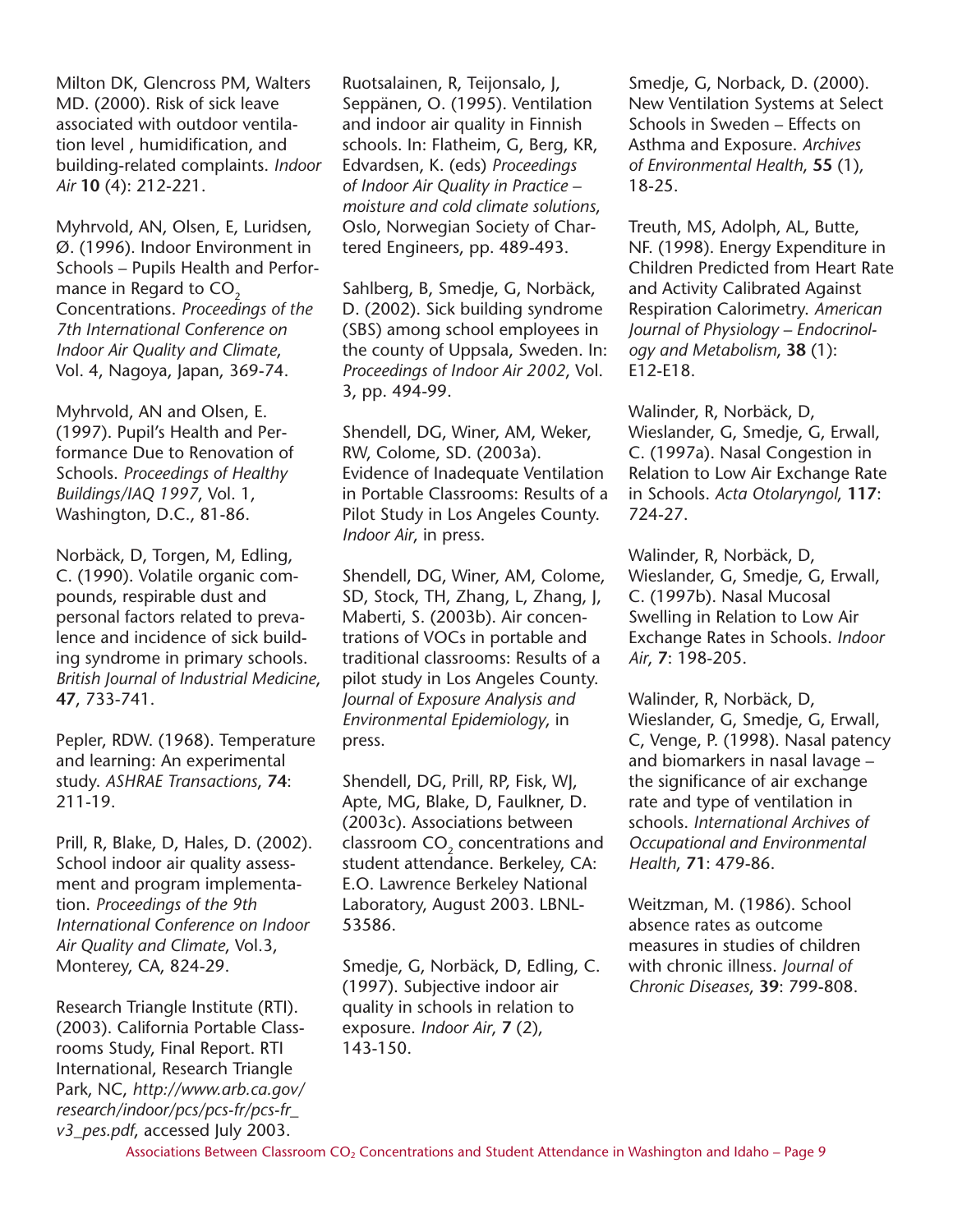Milton DK, Glencross PM, Walters MD. (2000). Risk of sick leave associated with outdoor ventilation level , humidification, and building-related complaints. *Indoor Air* **10** (4): 212-221.

Myhrvold, AN, Olsen, E, Luridsen, Ø. (1996). Indoor Environment in Schools – Pupils Health and Performance in Regard to  $CO<sub>2</sub>$ Concentrations. *Proceedings of the 7th International Conference on Indoor Air Quality and Climate*, Vol. 4, Nagoya, Japan, 369-74.

Myhrvold, AN and Olsen, E. (1997). Pupil's Health and Performance Due to Renovation of Schools. *Proceedings of Healthy Buildings/IAQ 1997*, Vol. 1, Washington, D.C., 81-86.

Norbäck, D, Torgen, M, Edling, C. (1990). Volatile organic compounds, respirable dust and personal factors related to prevalence and incidence of sick building syndrome in primary schools. *British Journal of Industrial Medicine*, **47**, 733-741.

Pepler, RDW. (1968). Temperature and learning: An experimental study. *ASHRAE Transactions*, **74**: 211-19.

Prill, R, Blake, D, Hales, D. (2002). School indoor air quality assessment and program implementation. *Proceedings of the 9th International Conference on Indoor Air Quality and Climate*, Vol.3, Monterey, CA, 824-29.

Research Triangle Institute (RTI). (2003). California Portable Classrooms Study, Final Report. RTI International, Research Triangle Park, NC, *http://www.arb.ca.gov/ research/indoor/pcs/pcs-fr/pcs-fr\_ v3\_pes.pdf*, accessed July 2003.

Ruotsalainen, R, Teijonsalo, J, Seppänen, O. (1995). Ventilation and indoor air quality in Finnish schools. In: Flatheim, G, Berg, KR, Edvardsen, K. (eds) *Proceedings of Indoor Air Quality in Practice – moisture and cold climate solutions*, Oslo, Norwegian Society of Chartered Engineers, pp. 489-493.

Sahlberg, B, Smedje, G, Norbäck, D. (2002). Sick building syndrome (SBS) among school employees in the county of Uppsala, Sweden. In: *Proceedings of Indoor Air 2002*, Vol. 3, pp. 494-99.

Shendell, DG, Winer, AM, Weker, RW, Colome, SD. (2003a). Evidence of Inadequate Ventilation in Portable Classrooms: Results of a Pilot Study in Los Angeles County. *Indoor Air*, in press.

Shendell, DG, Winer, AM, Colome, SD, Stock, TH, Zhang, L, Zhang, J, Maberti, S. (2003b). Air concentrations of VOCs in portable and traditional classrooms: Results of a pilot study in Los Angeles County. *Journal of Exposure Analysis and Environmental Epidemiology*, in press.

Shendell, DG, Prill, RP, Fisk, WJ, Apte, MG, Blake, D, Faulkner, D. (2003c). Associations between classroom CO<sub>2</sub> concentrations and student attendance. Berkeley, CA: E.O. Lawrence Berkeley National Laboratory, August 2003. LBNL-53586.

Smedje, G, Norbäck, D, Edling, C. (1997). Subjective indoor air quality in schools in relation to exposure. *Indoor Air*, **7** (2), 143-150.

Smedje, G, Norback, D. (2000). New Ventilation Systems at Select Schools in Sweden – Effects on Asthma and Exposure. *Archives of Environmental Health*, **55** (1), 18-25.

Treuth, MS, Adolph, AL, Butte, NF. (1998). Energy Expenditure in Children Predicted from Heart Rate and Activity Calibrated Against Respiration Calorimetry. *American Journal of Physiology – Endocrinology and Metabolism*, **38** (1): E12-E18.

Walinder, R, Norbäck, D, Wieslander, G, Smedje, G, Erwall, C. (1997a). Nasal Congestion in Relation to Low Air Exchange Rate in Schools. *Acta Otolaryngol*, **117**: 724-27.

Walinder, R, Norbäck, D, Wieslander, G, Smedje, G, Erwall, C. (1997b). Nasal Mucosal Swelling in Relation to Low Air Exchange Rates in Schools. *Indoor Air*, **7**: 198-205.

Walinder, R, Norbäck, D, Wieslander, G, Smedje, G, Erwall, C, Venge, P. (1998). Nasal patency and biomarkers in nasal lavage – the significance of air exchange rate and type of ventilation in schools. *International Archives of Occupational and Environmental Health*, **71**: 479-86.

Weitzman, M. (1986). School absence rates as outcome measures in studies of children with chronic illness. *Journal of Chronic Diseases*, **39**: 799-808.

Associations Between Classroom CO<sub>2</sub> Concentrations and Student Attendance in Washington and Idaho – Page 9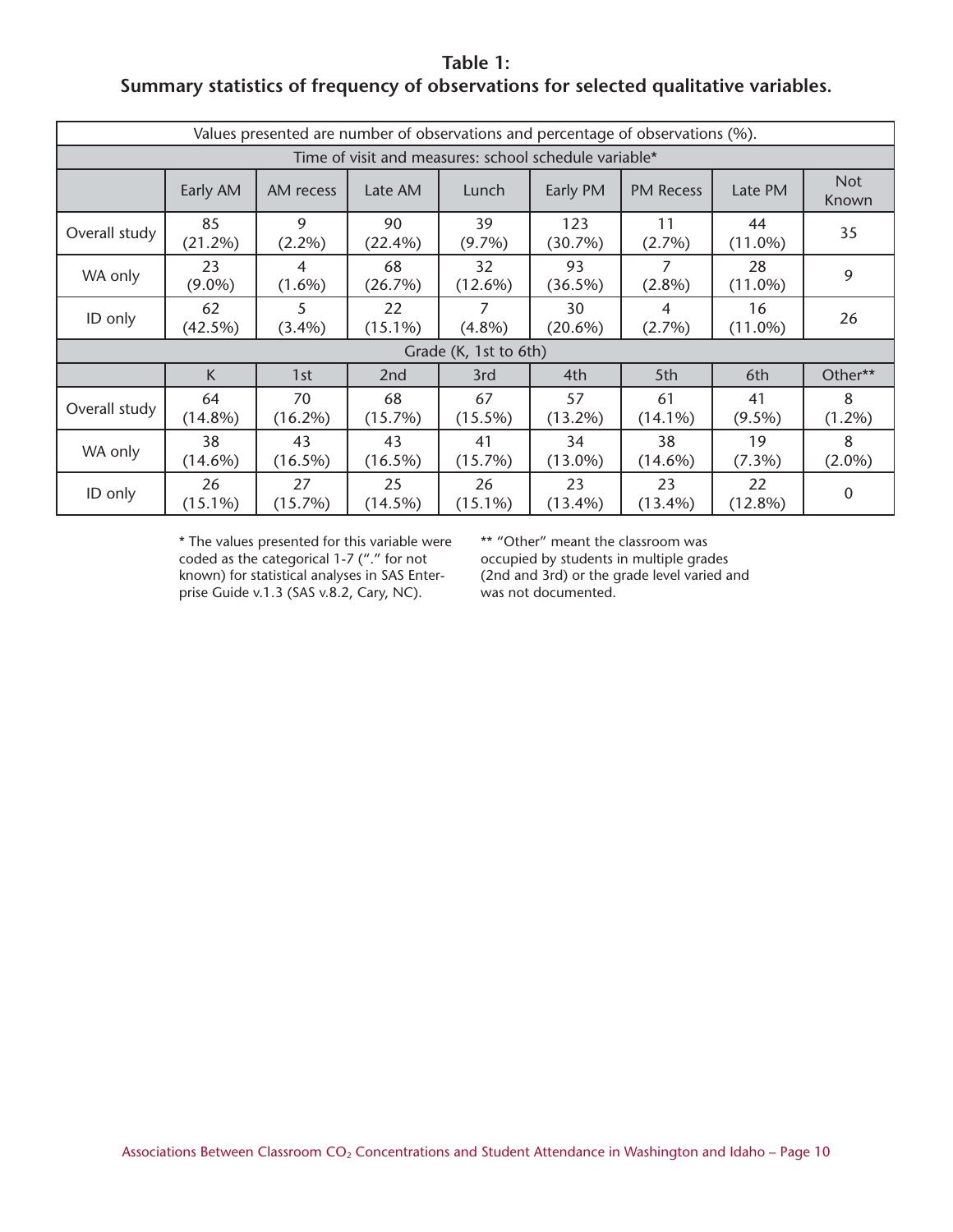**Table 1: Summary statistics of frequency of observations for selected qualitative variables.**

| Values presented are number of observations and percentage of observations (%). |                                                                                                                               |                  |                  |                  |                  |                  |                  |                     |  |  |  |  |
|---------------------------------------------------------------------------------|-------------------------------------------------------------------------------------------------------------------------------|------------------|------------------|------------------|------------------|------------------|------------------|---------------------|--|--|--|--|
| Time of visit and measures: school schedule variable*                           |                                                                                                                               |                  |                  |                  |                  |                  |                  |                     |  |  |  |  |
|                                                                                 | Early AM                                                                                                                      | AM recess        | Late AM          | Lunch            | Early PM         | <b>PM Recess</b> | Late PM          | <b>Not</b><br>Known |  |  |  |  |
| Overall study                                                                   | 85<br>(21.2%)                                                                                                                 | 9<br>$(2.2\%)$   | 90<br>$(22.4\%)$ | 39<br>$(9.7\%)$  | 123<br>(30.7%)   | 11<br>$(2.7\%)$  | 44<br>$(11.0\%)$ | 35                  |  |  |  |  |
| WA only                                                                         | 7<br>93<br>23<br>68<br>32<br>28<br>4<br>$(9.0\%)$<br>$(1.6\%)$<br>(26.7%)<br>$(12.6\%)$<br>$(2.8\%)$<br>$(11.0\%)$<br>(36.5%) |                  |                  |                  |                  |                  |                  | 9                   |  |  |  |  |
| ID only                                                                         | 62<br>(42.5%)                                                                                                                 | 5<br>$(3.4\%)$   | 22<br>$(15.1\%)$ | 7<br>$(4.8\%)$   | 30<br>$(20.6\%)$ | 4<br>$(2.7\%)$   | 16<br>$(11.0\%)$ | 26                  |  |  |  |  |
|                                                                                 | Grade (K, 1st to 6th)                                                                                                         |                  |                  |                  |                  |                  |                  |                     |  |  |  |  |
|                                                                                 | K                                                                                                                             | 1st              | 2 <sub>nd</sub>  | 3rd              | 4th              | 5th              | 6th              | Other**             |  |  |  |  |
| Overall study                                                                   | 64<br>$(14.8\%)$                                                                                                              | 70<br>$(16.2\%)$ | 68<br>(15.7%)    | 67<br>$(15.5\%)$ | 57<br>$(13.2\%)$ | 61<br>$(14.1\%)$ | 41<br>$(9.5\%)$  | 8<br>$(1.2\%)$      |  |  |  |  |
| WA only                                                                         | 38<br>$(14.6\%)$                                                                                                              | 43<br>$(16.5\%)$ | 43<br>$(16.5\%)$ | 41<br>(15.7%)    | 34<br>$(13.0\%)$ | 38<br>$(14.6\%)$ | 19<br>$(7.3\%)$  | 8<br>$(2.0\%)$      |  |  |  |  |
| ID only                                                                         | 26<br>$(15.1\%)$                                                                                                              | 27<br>(15.7%)    | 25<br>(14.5%)    | 26<br>$(15.1\%)$ | 23<br>$(13.4\%)$ | 23<br>$(13.4\%)$ | 22<br>$(12.8\%)$ | 0                   |  |  |  |  |

\* The values presented for this variable were coded as the categorical 1-7 ("." for not known) for statistical analyses in SAS Enterprise Guide v.1.3 (SAS v.8.2, Cary, NC).

\*\* "Other" meant the classroom was

occupied by students in multiple grades (2nd and 3rd) or the grade level varied and was not documented.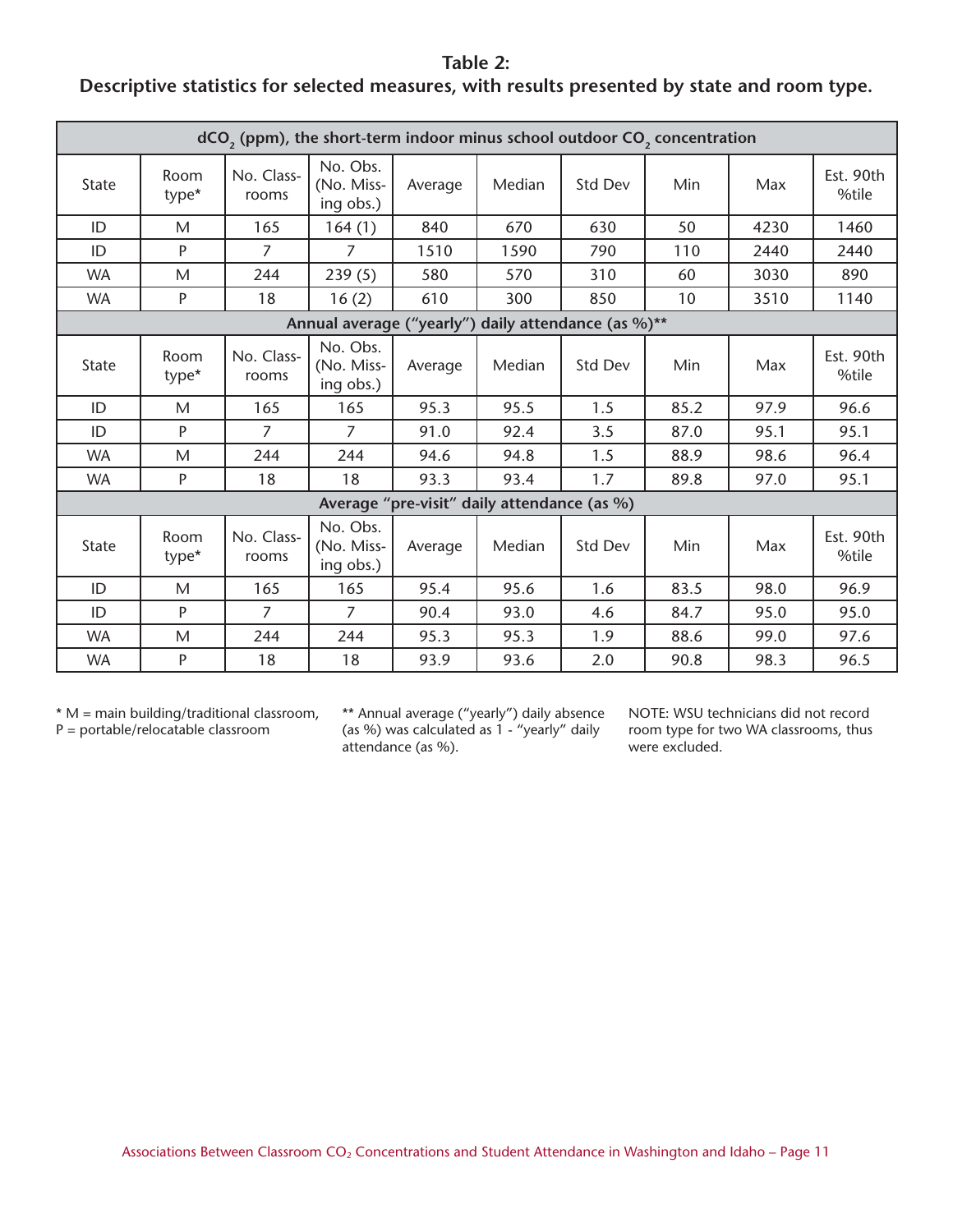## **Table 2: Descriptive statistics for selected measures, with results presented by state and room type.**

| dCO <sub>2</sub> (ppm), the short-term indoor minus school outdoor CO <sub>2</sub> concentration |               |                     |                                     |         |                                             |         |      |      |                    |  |  |  |
|--------------------------------------------------------------------------------------------------|---------------|---------------------|-------------------------------------|---------|---------------------------------------------|---------|------|------|--------------------|--|--|--|
| State                                                                                            | Room<br>type* | No. Class-<br>rooms | No. Obs.<br>(No. Miss-<br>ing obs.) | Average | Median                                      | Std Dev | Min  | Max  | Est. 90th<br>%tile |  |  |  |
| ID                                                                                               | M             | 165                 | 164(1)                              | 840     | 670                                         | 630     | 50   | 4230 | 1460               |  |  |  |
| ID                                                                                               | P             | $\overline{7}$      | $\overline{7}$                      | 1510    | 1590                                        | 790     | 110  | 2440 | 2440               |  |  |  |
| <b>WA</b>                                                                                        | M             | 244                 | 239(5)                              | 580     | 570                                         | 310     | 60   | 3030 | 890                |  |  |  |
| <b>WA</b>                                                                                        | P             | 18                  | 16(2)                               | 610     | 300                                         | 850     | 10   | 3510 | 1140               |  |  |  |
| Annual average ("yearly") daily attendance (as %)**                                              |               |                     |                                     |         |                                             |         |      |      |                    |  |  |  |
| State                                                                                            | Room<br>type* | No. Class-<br>rooms | No. Obs.<br>(No. Miss-<br>ing obs.) | Average | Median                                      | Std Dev | Min  | Max  | Est. 90th<br>%tile |  |  |  |
| ID                                                                                               | M             | 165                 | 165                                 | 95.3    | 95.5                                        | 1.5     | 85.2 | 97.9 | 96.6               |  |  |  |
| ID                                                                                               | P             | $\overline{7}$      | $\overline{7}$                      | 91.0    | 92.4                                        | 3.5     | 87.0 | 95.1 | 95.1               |  |  |  |
| <b>WA</b>                                                                                        | M             | 244                 | 244                                 | 94.6    | 94.8                                        | 1.5     | 88.9 | 98.6 | 96.4               |  |  |  |
| <b>WA</b>                                                                                        | P             | 18                  | 18                                  | 93.3    | 93.4                                        | 1.7     | 89.8 | 97.0 | 95.1               |  |  |  |
|                                                                                                  |               |                     |                                     |         | Average "pre-visit" daily attendance (as %) |         |      |      |                    |  |  |  |
| State                                                                                            | Room<br>type* | No. Class-<br>rooms | No. Obs.<br>(No. Miss-<br>ing obs.) | Average | Median                                      | Std Dev | Min  | Max  | Est. 90th<br>%tile |  |  |  |
| ID                                                                                               | M             | 165                 | 165                                 | 95.4    | 95.6                                        | 1.6     | 83.5 | 98.0 | 96.9               |  |  |  |
| ID                                                                                               | P             | $\overline{7}$      | 7                                   | 90.4    | 93.0                                        | 4.6     | 84.7 | 95.0 | 95.0               |  |  |  |
| <b>WA</b>                                                                                        | M             | 244                 | 244                                 | 95.3    | 95.3                                        | 1.9     | 88.6 | 99.0 | 97.6               |  |  |  |
| <b>WA</b>                                                                                        | P             | 18                  | 18                                  | 93.9    | 93.6                                        | 2.0     | 90.8 | 98.3 | 96.5               |  |  |  |

\* M = main building/traditional classroom,  $P =$  portable/relocatable classroom

\*\* Annual average ("yearly") daily absence (as %) was calculated as 1 - "yearly" daily attendance (as %).

NOTE: WSU technicians did not record room type for two WA classrooms, thus were excluded.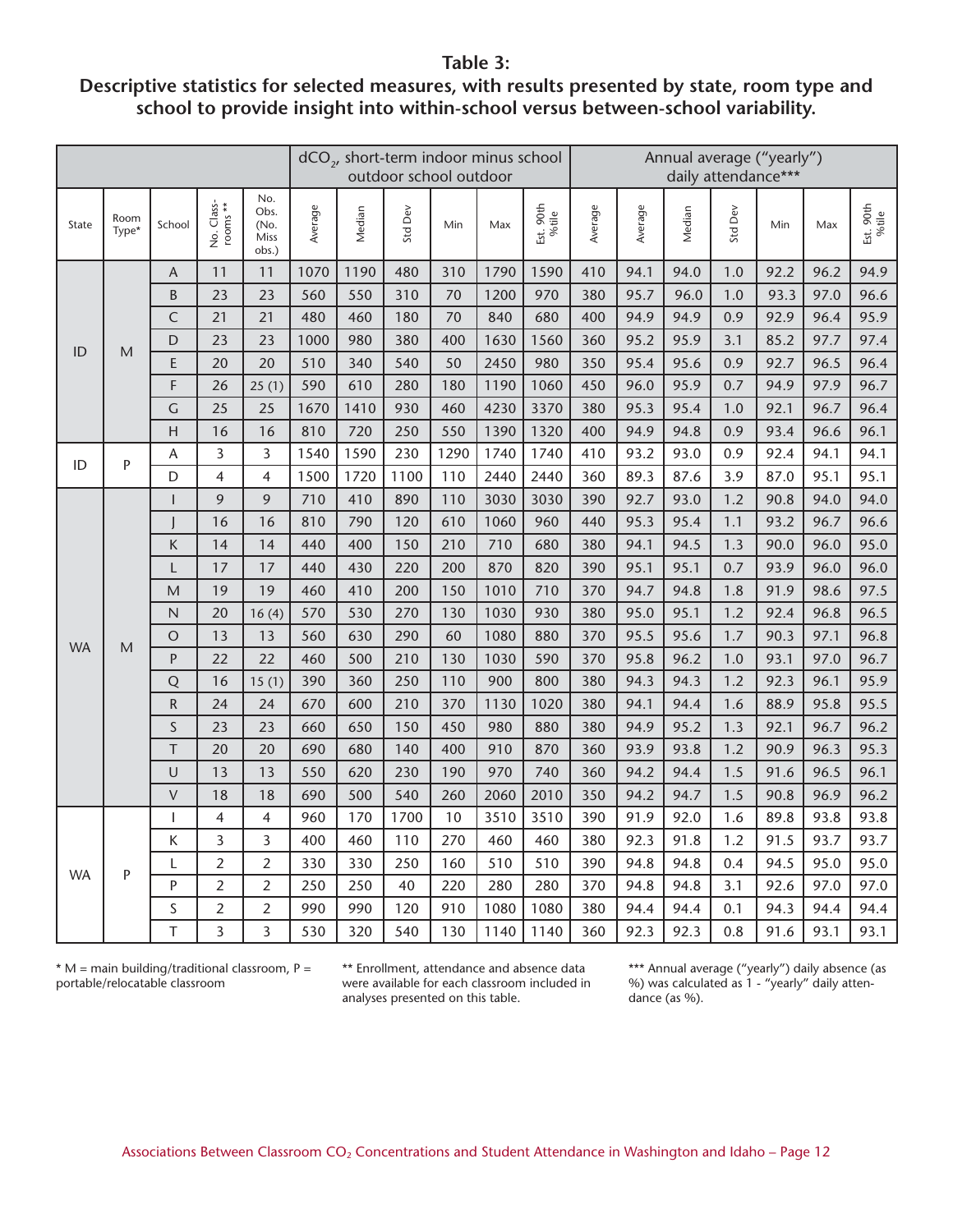#### **Table 3:**

## **Descriptive statistics for selected measures, with results presented by state, room type and school to provide insight into within-school versus between-school variability.**

|           |               |                |                        |                                      | dCO <sub>2</sub> , short-term indoor minus school<br>outdoor school outdoor |        |            |      |      |                    | Annual average ("yearly")<br>daily attendance*** |         |        |         |      |      |                    |
|-----------|---------------|----------------|------------------------|--------------------------------------|-----------------------------------------------------------------------------|--------|------------|------|------|--------------------|--------------------------------------------------|---------|--------|---------|------|------|--------------------|
| State     | Room<br>Type* | School         | No. Class-<br>rooms ** | No.<br>Obs.<br>(No.<br>Miss<br>obs.) | Average                                                                     | Median | Dev<br>Std | Min  | Max  | Est. 90th<br>%tile | Average                                          | Average | Median | Std Dev | Min  | Max  | Est. 90th<br>%tile |
|           |               | A              | 11                     | 11                                   | 1070                                                                        | 1190   | 480        | 310  | 1790 | 1590               | 410                                              | 94.1    | 94.0   | 1.0     | 92.2 | 96.2 | 94.9               |
|           |               | B              | 23                     | 23                                   | 560                                                                         | 550    | 310        | 70   | 1200 | 970                | 380                                              | 95.7    | 96.0   | 1.0     | 93.3 | 97.0 | 96.6               |
|           |               | $\mathsf{C}$   | 21                     | 21                                   | 480                                                                         | 460    | 180        | 70   | 840  | 680                | 400                                              | 94.9    | 94.9   | 0.9     | 92.9 | 96.4 | 95.9               |
| ID        | M             | D              | 23                     | 23                                   | 1000                                                                        | 980    | 380        | 400  | 1630 | 1560               | 360                                              | 95.2    | 95.9   | 3.1     | 85.2 | 97.7 | 97.4               |
|           |               | E              | 20                     | 20                                   | 510                                                                         | 340    | 540        | 50   | 2450 | 980                | 350                                              | 95.4    | 95.6   | 0.9     | 92.7 | 96.5 | 96.4               |
|           |               | F              | 26                     | 25(1)                                | 590                                                                         | 610    | 280        | 180  | 1190 | 1060               | 450                                              | 96.0    | 95.9   | 0.7     | 94.9 | 97.9 | 96.7               |
|           |               | $\overline{G}$ | 25                     | 25                                   | 1670                                                                        | 1410   | 930        | 460  | 4230 | 3370               | 380                                              | 95.3    | 95.4   | 1.0     | 92.1 | 96.7 | 96.4               |
|           |               | $\overline{H}$ | 16                     | 16                                   | 810                                                                         | 720    | 250        | 550  | 1390 | 1320               | 400                                              | 94.9    | 94.8   | 0.9     | 93.4 | 96.6 | 96.1               |
| ID        | $\mathsf{P}$  | A              | 3                      | 3                                    | 1540                                                                        | 1590   | 230        | 1290 | 1740 | 1740               | 410                                              | 93.2    | 93.0   | 0.9     | 92.4 | 94.1 | 94.1               |
|           |               | D              | $\overline{4}$         | 4                                    | 1500                                                                        | 1720   | 1100       | 110  | 2440 | 2440               | 360                                              | 89.3    | 87.6   | 3.9     | 87.0 | 95.1 | 95.1               |
|           |               |                | 9                      | 9                                    | 710                                                                         | 410    | 890        | 110  | 3030 | 3030               | 390                                              | 92.7    | 93.0   | 1.2     | 90.8 | 94.0 | 94.0               |
|           |               |                | 16                     | 16                                   | 810                                                                         | 790    | 120        | 610  | 1060 | 960                | 440                                              | 95.3    | 95.4   | 1.1     | 93.2 | 96.7 | 96.6               |
|           |               | K              | 14                     | 14                                   | 440                                                                         | 400    | 150        | 210  | 710  | 680                | 380                                              | 94.1    | 94.5   | 1.3     | 90.0 | 96.0 | 95.0               |
|           |               | L              | 17                     | 17                                   | 440                                                                         | 430    | 220        | 200  | 870  | 820                | 390                                              | 95.1    | 95.1   | 0.7     | 93.9 | 96.0 | 96.0               |
|           |               | M              | 19                     | 19                                   | 460                                                                         | 410    | 200        | 150  | 1010 | 710                | 370                                              | 94.7    | 94.8   | 1.8     | 91.9 | 98.6 | 97.5               |
|           |               | $\mathsf{N}$   | 20                     | 16(4)                                | 570                                                                         | 530    | 270        | 130  | 1030 | 930                | 380                                              | 95.0    | 95.1   | 1.2     | 92.4 | 96.8 | 96.5               |
| <b>WA</b> | M             | $\circ$        | 13                     | 13                                   | 560                                                                         | 630    | 290        | 60   | 1080 | 880                | 370                                              | 95.5    | 95.6   | 1.7     | 90.3 | 97.1 | 96.8               |
|           |               | $\mathsf{P}$   | 22                     | 22                                   | 460                                                                         | 500    | 210        | 130  | 1030 | 590                | 370                                              | 95.8    | 96.2   | 1.0     | 93.1 | 97.0 | 96.7               |
|           |               | Q              | 16                     | 15(1)                                | 390                                                                         | 360    | 250        | 110  | 900  | 800                | 380                                              | 94.3    | 94.3   | 1.2     | 92.3 | 96.1 | 95.9               |
|           |               | ${\sf R}$      | 24                     | 24                                   | 670                                                                         | 600    | 210        | 370  | 1130 | 1020               | 380                                              | 94.1    | 94.4   | 1.6     | 88.9 | 95.8 | 95.5               |
|           |               | S              | 23                     | 23                                   | 660                                                                         | 650    | 150        | 450  | 980  | 880                | 380                                              | 94.9    | 95.2   | 1.3     | 92.1 | 96.7 | 96.2               |
|           |               | $\top$         | 20                     | 20                                   | 690                                                                         | 680    | 140        | 400  | 910  | 870                | 360                                              | 93.9    | 93.8   | 1.2     | 90.9 | 96.3 | 95.3               |
|           |               | $\cup$         | 13                     | 13                                   | 550                                                                         | 620    | 230        | 190  | 970  | 740                | 360                                              | 94.2    | 94.4   | 1.5     | 91.6 | 96.5 | 96.1               |
|           |               | $\vee$         | 18                     | 18                                   | 690                                                                         | 500    | 540        | 260  | 2060 | 2010               | 350                                              | 94.2    | 94.7   | 1.5     | 90.8 | 96.9 | 96.2               |
|           |               | $\overline{1}$ | $\overline{4}$         | 4                                    | 960                                                                         | 170    | 1700       | 10   | 3510 | 3510               | 390                                              | 91.9    | 92.0   | 1.6     | 89.8 | 93.8 | 93.8               |
|           |               | Κ              | 3                      | 3                                    | 400                                                                         | 460    | 110        | 270  | 460  | 460                | 380                                              | 92.3    | 91.8   | 1.2     | 91.5 | 93.7 | 93.7               |
| <b>WA</b> | P             | L              | $\overline{2}$         | $\overline{2}$                       | 330                                                                         | 330    | 250        | 160  | 510  | 510                | 390                                              | 94.8    | 94.8   | 0.4     | 94.5 | 95.0 | 95.0               |
|           |               | P              | $\overline{2}$         | $\overline{2}$                       | 250                                                                         | 250    | 40         | 220  | 280  | 280                | 370                                              | 94.8    | 94.8   | 3.1     | 92.6 | 97.0 | 97.0               |
|           |               | S              | $\overline{2}$         | $\overline{2}$                       | 990                                                                         | 990    | 120        | 910  | 1080 | 1080               | 380                                              | 94.4    | 94.4   | 0.1     | 94.3 | 94.4 | 94.4               |
|           |               | T              | 3                      | 3                                    | 530                                                                         | 320    | 540        | 130  | 1140 | 1140               | 360                                              | 92.3    | 92.3   | 0.8     | 91.6 | 93.1 | 93.1               |

 $*$  M = main building/traditional classroom, P = portable/relocatable classroom

\*\* Enrollment, attendance and absence data were available for each classroom included in analyses presented on this table.

\*\*\* Annual average ("yearly") daily absence (as %) was calculated as 1 - "yearly" daily attendance (as %).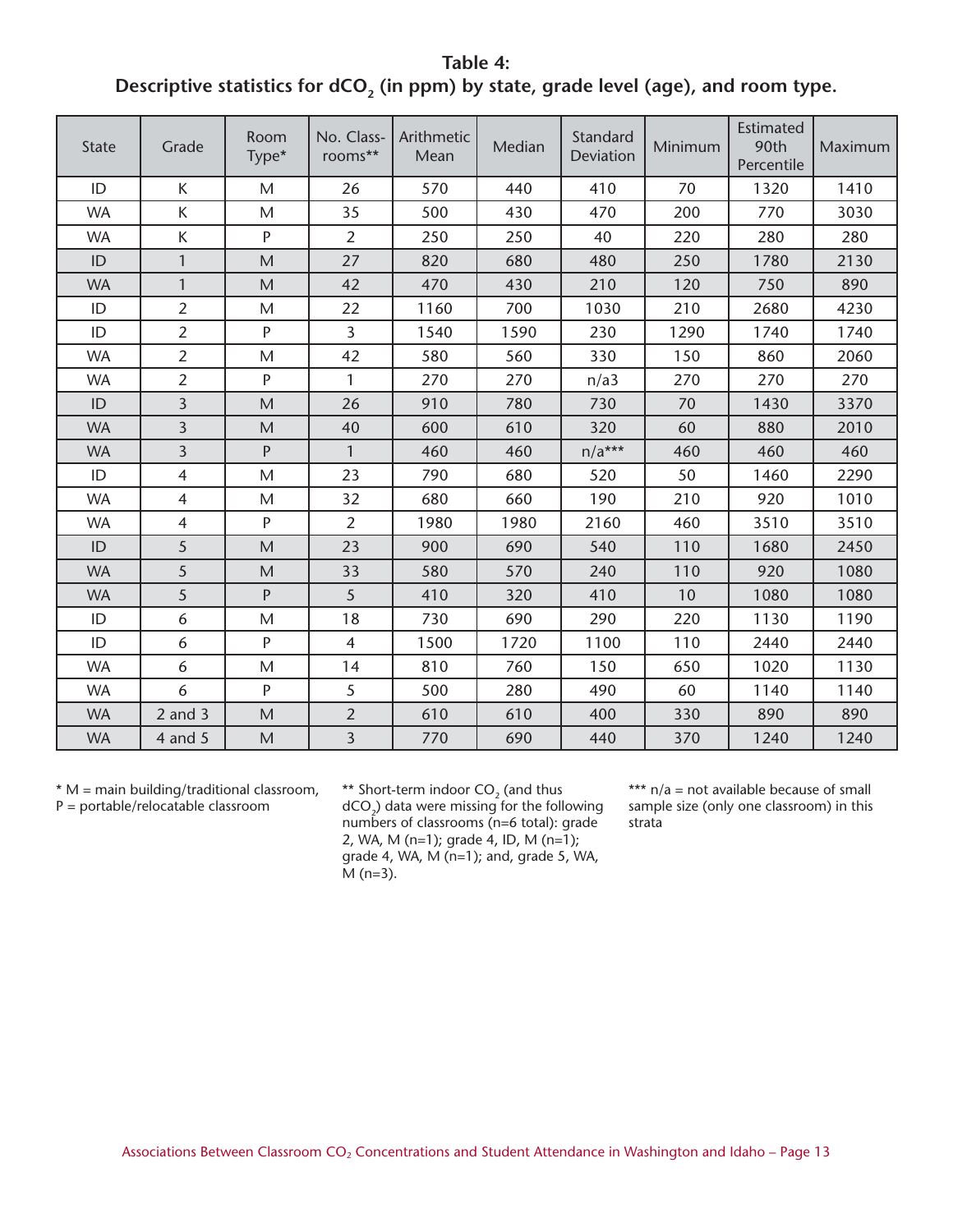**Table 4:**  Descriptive statistics for dCO<sub>2</sub> (in ppm) by state, grade level (age), and room type.

| <b>State</b> | Grade          | Room<br>Type* | No. Class-<br>rooms** | Arithmetic<br>Mean | Median | Standard<br>Deviation | Minimum | <b>Estimated</b><br>90th<br>Percentile | Maximum |
|--------------|----------------|---------------|-----------------------|--------------------|--------|-----------------------|---------|----------------------------------------|---------|
| ID           | K              | M             | 26                    | 570                | 440    | 410                   | 70      | 1320                                   | 1410    |
| <b>WA</b>    | K              | M             | 35                    | 500                | 430    | 470                   | 200     | 770                                    | 3030    |
| <b>WA</b>    | К              | P             | 2                     | 250                | 250    | 40                    | 220     | 280                                    | 280     |
| ID           | 1              | M             | 27                    | 820                | 680    | 480                   | 250     | 1780                                   | 2130    |
| <b>WA</b>    | $\mathbf{1}$   | M             | 42                    | 470                | 430    | 210                   | 120     | 750                                    | 890     |
| ID           | $\overline{2}$ | M             | 22                    | 1160               | 700    | 1030                  | 210     | 2680                                   | 4230    |
| ID           | $\overline{2}$ | P             | 3                     | 1540               | 1590   | 230                   | 1290    | 1740                                   | 1740    |
| <b>WA</b>    | $\overline{2}$ | M             | 42                    | 580                | 560    | 330                   | 150     | 860                                    | 2060    |
| <b>WA</b>    | $\overline{2}$ | P             | $\mathbf{1}$          | 270                | 270    | n/a3                  | 270     | 270                                    | 270     |
| ID           | $\overline{3}$ | M             | 26                    | 910                | 780    | 730                   | 70      | 1430                                   | 3370    |
| <b>WA</b>    | $\overline{3}$ | M             | 40                    | 600                | 610    | 320                   | 60      | 880                                    | 2010    |
| <b>WA</b>    | $\overline{3}$ | P             | $\mathbf{1}$          | 460                | 460    | $n/a***$              | 460     | 460                                    | 460     |
| ID           | $\overline{4}$ | M             | 23                    | 790                | 680    | 520                   | 50      | 1460                                   | 2290    |
| <b>WA</b>    | $\overline{4}$ | $\mathsf{M}$  | 32                    | 680                | 660    | 190                   | 210     | 920                                    | 1010    |
| <b>WA</b>    | $\overline{4}$ | P             | $\overline{2}$        | 1980               | 1980   | 2160                  | 460     | 3510                                   | 3510    |
| ID           | 5              | M             | 23                    | 900                | 690    | 540                   | 110     | 1680                                   | 2450    |
| <b>WA</b>    | 5              | M             | 33                    | 580                | 570    | 240                   | 110     | 920                                    | 1080    |
| <b>WA</b>    | 5              | P             | 5                     | 410                | 320    | 410                   | 10      | 1080                                   | 1080    |
| ID           | 6              | M             | 18                    | 730                | 690    | 290                   | 220     | 1130                                   | 1190    |
| ID           | 6              | P             | $\overline{4}$        | 1500               | 1720   | 1100                  | 110     | 2440                                   | 2440    |
| <b>WA</b>    | 6              | M             | 14                    | 810                | 760    | 150                   | 650     | 1020                                   | 1130    |
| <b>WA</b>    | 6              | P             | 5                     | 500                | 280    | 490                   | 60      | 1140                                   | 1140    |
| <b>WA</b>    | $2$ and $3$    | M             | $\overline{2}$        | 610                | 610    | 400                   | 330     | 890                                    | 890     |
| <b>WA</b>    | $4$ and $5$    | M             | $\overline{3}$        | 770                | 690    | 440                   | 370     | 1240                                   | 1240    |

\* M = main building/traditional classroom, P = portable/relocatable classroom

\*\* Short-term indoor  $CO<sub>2</sub>$  (and thus  $dCO_{2}$ ) data were missing for the following numbers of classrooms (n=6 total): grade 2, WA, M (n=1); grade 4, ID, M (n=1); grade 4, WA,  $M$  (n=1); and, grade 5, WA,  $\overline{M}$  (n=3).

\*\*\*  $n/a$  = not available because of small sample size (only one classroom) in this strata